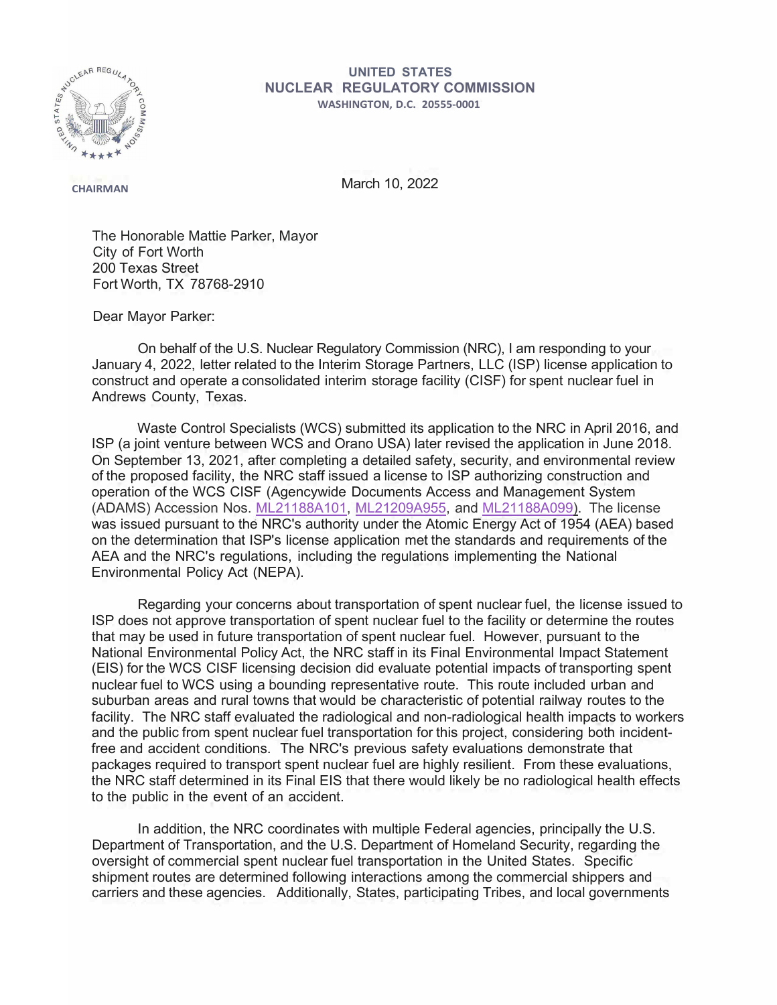

## **UNITED STATES NUCLEAR REGULATORY COMMISSION WASHINGTON, D.C. 20555-0001**

**CHAIRMAN** March 10, 2022

The Honorable Mattie Parker, Mayor City of Fort Worth 200 Texas Street Fort Worth, TX 78768-2910

Dear Mayor Parker:

On behalf of the U.S. Nuclear Regulatory Commission (NRC), I am responding to your January 4, 2022, letter related to the Interim Storage Partners, LLC (ISP) license application to construct and operate a consolidated interim storage facility (CISF) for spent nuclear fuel in Andrews County, Texas.

Waste Control Specialists (WCS) submitted its application to the NRC in April 2016, and ISP (a joint venture between WCS and Orano USA) later revised the application in June 2018. On September 13, 2021, after completing a detailed safety, security, and environmental review of the proposed facility, the NRC staff issued a license to ISP authorizing construction and operation of the WCS CISF (Agencywide Documents Access and Management System (ADAMS) Accession Nos. [ML21188A101,](https://adamswebsearch2.nrc.gov/webSearch2/main.jsp?AccessionNumber=ML21188A101) [ML21209A955,](https://adamswebsearch2.nrc.gov/webSearch2/main.jsp?AccessionNumber=ML21209A955) and [ML21188A099\)](https://adamswebsearch2.nrc.gov/webSearch2/main.jsp?AccessionNumber=ML21188A099). The license was issued pursuant to the NRC's authority under the Atomic Energy Act of 1954 (AEA) based on the determination that ISP's license application met the standards and requirements of the AEA and the NRC's regulations, including the regulations implementing the National Environmental Policy Act (NEPA).

Regarding your concerns about transportation of spent nuclear fuel, the license issued to ISP does not approve transportation of spent nuclear fuel to the facility or determine the routes that may be used in future transportation of spent nuclear fuel. However, pursuant to the National Environmental Policy Act, the NRC staff in its Final Environmental Impact Statement (EIS) for the WCS CISF licensing decision did evaluate potential impacts of transporting spent nuclear fuel to WCS using a bounding representative route. This route included urban and suburban areas and rural towns that would be characteristic of potential railway routes to the facility. The NRC staff evaluated the radiological and non-radiological health impacts to workers and the public from spent nuclear fuel transportation for this project, considering both incidentfree and accident conditions. The NRC's previous safety evaluations demonstrate that packages required to transport spent nuclear fuel are highly resilient. From these evaluations, the NRC staff determined in its Final EIS that there would likely be no radiological health effects to the public in the event of an accident.

In addition, the NRC coordinates with multiple Federal agencies, principally the U.S. Department of Transportation, and the U.S. Department of Homeland Security, regarding the oversight of commercial spent nuclear fuel transportation in the United States. Specific shipment routes are determined following interactions among the commercial shippers and carriers and these agencies. Additionally, States, participating Tribes, and local governments